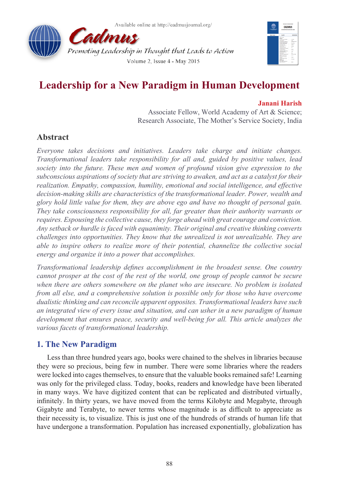Available online at http://cadmusiournal.org/





# **Leadership for a New Paradigm in Human Development**

### **Janani Harish**

Associate Fellow, World Academy of Art & Science; Research Associate, The Mother's Service Society, India

# **Abstract**

*Everyone takes decisions and initiatives. Leaders take charge and initiate changes. Transformational leaders take responsibility for all and, guided by positive values, lead society into the future. These men and women of profound vision give expression to the subconscious aspirations of society that are striving to awaken, and act as a catalyst for their realization. Empathy, compassion, humility, emotional and social intelligence, and effective decision-making skills are characteristics of the transformational leader. Power, wealth and glory hold little value for them, they are above ego and have no thought of personal gain. They take consciousness responsibility for all, far greater than their authority warrants or requires. Espousing the collective cause, they forge ahead with great courage and conviction. Any setback or hurdle is faced with equanimity. Their original and creative thinking converts challenges into opportunities. They know that the unrealized is not unrealizable. They are able to inspire others to realize more of their potential, channelize the collective social energy and organize it into a power that accomplishes.*

*Transformational leadership defines accomplishment in the broadest sense. One country cannot prosper at the cost of the rest of the world, one group of people cannot be secure when there are others somewhere on the planet who are insecure. No problem is isolated from all else, and a comprehensive solution is possible only for those who have overcome dualistic thinking and can reconcile apparent opposites. Transformational leaders have such an integrated view of every issue and situation, and can usher in a new paradigm of human development that ensures peace, security and well-being for all. This article analyzes the various facets of transformational leadership.*

# **1. The New Paradigm**

Less than three hundred years ago, books were chained to the shelves in libraries because they were so precious, being few in number. There were some libraries where the readers were locked into cages themselves, to ensure that the valuable books remained safe! Learning was only for the privileged class. Today, books, readers and knowledge have been liberated in many ways. We have digitized content that can be replicated and distributed virtually, infinitely. In thirty years, we have moved from the terms Kilobyte and Megabyte, through Gigabyte and Terabyte, to newer terms whose magnitude is as difficult to appreciate as their necessity is, to visualize. This is just one of the hundreds of strands of human life that have undergone a transformation. Population has increased exponentially, globalization has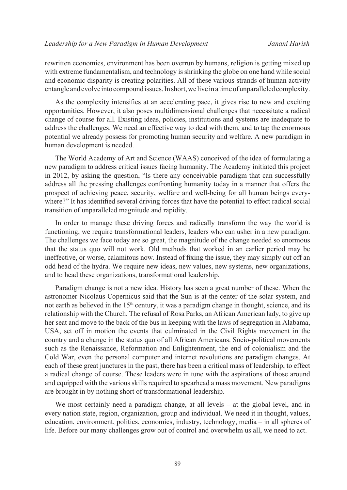rewritten economies, environment has been overrun by humans, religion is getting mixed up with extreme fundamentalism, and technology is shrinking the globe on one hand while social and economic disparity is creating polarities. All of these various strands of human activity entangle and evolve into compound issues. In short, we live in a time of unparalleled complexity.

As the complexity intensifies at an accelerating pace, it gives rise to new and exciting opportunities. However, it also poses multidimensional challenges that necessitate a radical change of course for all. Existing ideas, policies, institutions and systems are inadequate to address the challenges. We need an effective way to deal with them, and to tap the enormous potential we already possess for promoting human security and welfare. A new paradigm in human development is needed.

The World Academy of Art and Science (WAAS) conceived of the idea of formulating a new paradigm to address critical issues facing humanity. The Academy initiated this project in 2012, by asking the question, "Is there any conceivable paradigm that can successfully address all the pressing challenges confronting humanity today in a manner that offers the prospect of achieving peace, security, welfare and well-being for all human beings everywhere?" It has identified several driving forces that have the potential to effect radical social transition of unparalleled magnitude and rapidity.

In order to manage these driving forces and radically transform the way the world is functioning, we require transformational leaders, leaders who can usher in a new paradigm. The challenges we face today are so great, the magnitude of the change needed so enormous that the status quo will not work. Old methods that worked in an earlier period may be ineffective, or worse, calamitous now. Instead of fixing the issue, they may simply cut off an odd head of the hydra. We require new ideas, new values, new systems, new organizations, and to head these organizations, transformational leadership.

Paradigm change is not a new idea. History has seen a great number of these. When the astronomer Nicolaus Copernicus said that the Sun is at the center of the solar system, and not earth as believed in the  $15<sup>th</sup>$  century, it was a paradigm change in thought, science, and its relationship with the Church. The refusal of Rosa Parks, an African American lady, to give up her seat and move to the back of the bus in keeping with the laws of segregation in Alabama, USA, set off in motion the events that culminated in the Civil Rights movement in the country and a change in the status quo of all African Americans. Socio-political movements such as the Renaissance, Reformation and Enlightenment, the end of colonialism and the Cold War, even the personal computer and internet revolutions are paradigm changes. At each of these great junctures in the past, there has been a critical mass of leadership, to effect a radical change of course. These leaders were in tune with the aspirations of those around and equipped with the various skills required to spearhead a mass movement. New paradigms are brought in by nothing short of transformational leadership.

We most certainly need a paradigm change, at all levels – at the global level, and in every nation state, region, organization, group and individual. We need it in thought, values, education, environment, politics, economics, industry, technology, media – in all spheres of life. Before our many challenges grow out of control and overwhelm us all, we need to act.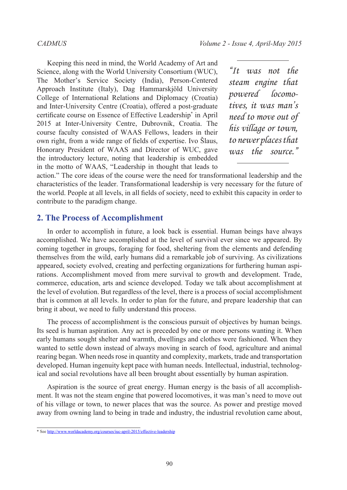Keeping this need in mind, the World Academy of Art and Science, along with the World University Consortium (WUC), The Mother's Service Society (India), Person-Centered Approach Institute (Italy), Dag Hammarskjöld University College of International Relations and Diplomacy (Croatia) and Inter-University Centre (Croatia), offered a post-graduate certificate course on Essence of Effective Leadership\* in April 2015 at Inter-University Centre, Dubrovnik, Croatia. The course faculty consisted of WAAS Fellows, leaders in their own right, from a wide range of fields of expertise. Ivo Šlaus, Honorary President of WAAS and Director of WUC, gave the introductory lecture, noting that leadership is embedded in the motto of WAAS, "Leadership in thought that leads to

*"It was not the steam engine that powered locomotives, it was man's need to move out of his village or town, to newer places that was the source."*

action." The core ideas of the course were the need for transformational leadership and the characteristics of the leader. Transformational leadership is very necessary for the future of the world. People at all levels, in all fields of society, need to exhibit this capacity in order to contribute to the paradigm change.

### **2. The Process of Accomplishment**

In order to accomplish in future, a look back is essential. Human beings have always accomplished. We have accomplished at the level of survival ever since we appeared. By coming together in groups, foraging for food, sheltering from the elements and defending themselves from the wild, early humans did a remarkable job of surviving. As civilizations appeared, society evolved, creating and perfecting organizations for furthering human aspirations. Accomplishment moved from mere survival to growth and development. Trade, commerce, education, arts and science developed. Today we talk about accomplishment at the level of evolution. But regardless of the level, there is a process of social accomplishment that is common at all levels. In order to plan for the future, and prepare leadership that can bring it about, we need to fully understand this process.

The process of accomplishment is the conscious pursuit of objectives by human beings. Its seed is human aspiration. Any act is preceded by one or more persons wanting it. When early humans sought shelter and warmth, dwellings and clothes were fashioned. When they wanted to settle down instead of always moving in search of food, agriculture and animal rearing began. When needs rose in quantity and complexity, markets, trade and transportation developed. Human ingenuity kept pace with human needs. Intellectual, industrial, technological and social revolutions have all been brought about essentially by human aspiration.

Aspiration is the source of great energy. Human energy is the basis of all accomplishment. It was not the steam engine that powered locomotives, it was man's need to move out of his village or town, to newer places that was the source. As power and prestige moved away from owning land to being in trade and industry, the industrial revolution came about,

<sup>\*</sup> See <http://www.worldacademy.org/courses/iuc-april-2015/effective-leadership>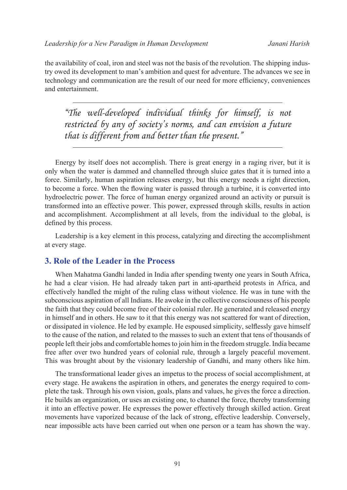the availability of coal, iron and steel was not the basis of the revolution. The shipping industry owed its development to man's ambition and quest for adventure. The advances we see in technology and communication are the result of our need for more efficiency, conveniences and entertainment.

*"The well-developed individual thinks for himself, is not restricted by any of society's norms, and can envision a future that is different from and better than the present."*

Energy by itself does not accomplish. There is great energy in a raging river, but it is only when the water is dammed and channelled through sluice gates that it is turned into a force. Similarly, human aspiration releases energy, but this energy needs a right direction, to become a force. When the flowing water is passed through a turbine, it is converted into hydroelectric power. The force of human energy organized around an activity or pursuit is transformed into an effective power. This power, expressed through skills, results in action and accomplishment. Accomplishment at all levels, from the individual to the global, is defined by this process.

Leadership is a key element in this process, catalyzing and directing the accomplishment at every stage.

### **3. Role of the Leader in the Process**

When Mahatma Gandhi landed in India after spending twenty one years in South Africa, he had a clear vision. He had already taken part in anti-apartheid protests in Africa, and effectively handled the might of the ruling class without violence. He was in tune with the subconscious aspiration of all Indians. He awoke in the collective consciousness of his people the faith that they could become free of their colonial ruler. He generated and released energy in himself and in others. He saw to it that this energy was not scattered for want of direction, or dissipated in violence. He led by example. He espoused simplicity, selflessly gave himself to the cause of the nation, and related to the masses to such an extent that tens of thousands of people left their jobs and comfortable homes to join him in the freedom struggle. India became free after over two hundred years of colonial rule, through a largely peaceful movement. This was brought about by the visionary leadership of Gandhi, and many others like him.

The transformational leader gives an impetus to the process of social accomplishment, at every stage. He awakens the aspiration in others, and generates the energy required to complete the task. Through his own vision, goals, plans and values, he gives the force a direction. He builds an organization, or uses an existing one, to channel the force, thereby transforming it into an effective power. He expresses the power effectively through skilled action. Great movements have vaporized because of the lack of strong, effective leadership. Conversely, near impossible acts have been carried out when one person or a team has shown the way.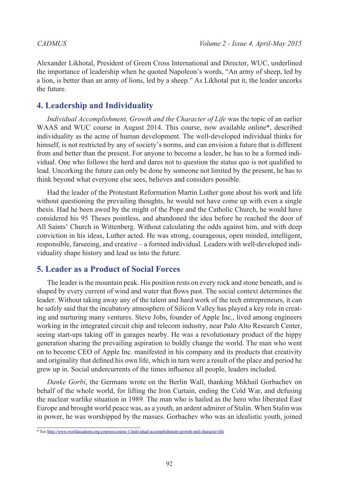Alexander Likhotal, President of Green Cross International and Director, WUC, underlined the importance of leadership when he quoted Napoleon's words, "An army of sheep, led by a lion, is better than an army of lions, led by a sheep." As Likhotal put it, the leader uncorks the future.

# **4. Leadership and Individuality**

*Individual Accomplishment, Growth and the Character of Life* was the topic of an earlier WAAS and WUC course in August 2014. This course, now available online\*, described individuality as the acme of human development. The well-developed individual thinks for himself, is not restricted by any of society's norms, and can envision a future that is different from and better than the present. For anyone to become a leader, he has to be a formed individual. One who follows the herd and dares not to question the status quo is not qualified to lead. Uncorking the future can only be done by someone not limited by the present, he has to think beyond what everyone else sees, believes and considers possible.

Had the leader of the Protestant Reformation Martin Luther gone about his work and life without questioning the prevailing thoughts, he would not have come up with even a single thesis. Had he been awed by the might of the Pope and the Catholic Church, he would have considered his 95 Theses pointless, and abandoned the idea before he reached the door of All Saints' Church in Wittenberg. Without calculating the odds against him, and with deep conviction in his ideas, Luther acted. He was strong, courageous, open minded, intelligent, responsible, farseeing, and creative – a formed individual. Leaders with well-developed individuality shape history and lead us into the future.

# **5. Leader as a Product of Social Forces**

The leader is the mountain peak. His position rests on every rock and stone beneath, and is shaped by every current of wind and water that flows past. The social context determines the leader. Without taking away any of the talent and hard work of the tech entrepreneurs, it can be safely said that the incubatory atmosphere of Silicon Valley has played a key role in creating and nurturing many ventures. Steve Jobs, founder of Apple Inc., lived among engineers working in the integrated circuit chip and telecom industry, near Palo Alto Research Center, seeing start-ups taking off in garages nearby. He was a revolutionary product of the hippy generation sharing the prevailing aspiration to boldly change the world. The man who went on to become CEO of Apple Inc. manifested in his company and its products that creativity and originality that defined his own life, which in turn were a result of the place and period he grew up in. Social undercurrents of the times influence all people, leaders included.

*Danke Gorbi*, the Germans wrote on the Berlin Wall, thanking Mikhail Gorbachev on behalf of the whole world, for lifting the Iron Curtain, ending the Cold War, and defusing the nuclear warlike situation in 1989. The man who is hailed as the hero who liberated East Europe and brought world peace was, as a youth, an ardent admirer of Stalin. When Stalin was in power, he was worshipped by the masses. Gorbachev who was an idealistic youth, joined

<sup>\*</sup> See <http://www.worldacademy.org/courses/course-1/individual-accomplishment-growth-and-character-life>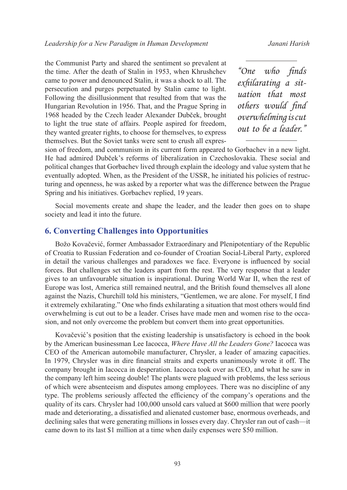the Communist Party and shared the sentiment so prevalent at the time. After the death of Stalin in 1953, when Khrushchev came to power and denounced Stalin, it was a shock to all. The persecution and purges perpetuated by Stalin came to light. Following the disillusionment that resulted from that was the Hungarian Revolution in 1956. That, and the Prague Spring in 1968 headed by the Czech leader Alexander Dubček, brought to light the true state of affairs. People aspired for freedom, they wanted greater rights, to choose for themselves, to express themselves. But the Soviet tanks were sent to crush all expres-

*"One who finds exhilarating a situation that most others would find overwhelming is cut out to be a leader."*

sion of freedom, and communism in its current form appeared to Gorbachev in a new light. He had admired Dubček's reforms of liberalization in Czechoslovakia. These social and political changes that Gorbachev lived through explain the ideology and value system that he eventually adopted. When, as the President of the USSR, he initiated his policies of restructuring and openness, he was asked by a reporter what was the difference between the Prague Spring and his initiatives. Gorbachev replied, 19 years.

Social movements create and shape the leader, and the leader then goes on to shape society and lead it into the future.

### **6. Converting Challenges into Opportunities**

Božo Kovačević, former Ambassador Extraordinary and Plenipotentiary of the Republic of Croatia to Russian Federation and co-founder of Croatian Social-Liberal Party, explored in detail the various challenges and paradoxes we face. Everyone is influenced by social forces. But challenges set the leaders apart from the rest. The very response that a leader gives to an unfavourable situation is inspirational. During World War II, when the rest of Europe was lost, America still remained neutral, and the British found themselves all alone against the Nazis, Churchill told his ministers, "Gentlemen, we are alone. For myself, I find it extremely exhilarating." One who finds exhilarating a situation that most others would find overwhelming is cut out to be a leader. Crises have made men and women rise to the occasion, and not only overcome the problem but convert them into great opportunities.

Kovačević's position that the existing leadership is unsatisfactory is echoed in the book by the American businessman Lee Iacocca, *Where Have All the Leaders Gone?* Iacocca was CEO of the American automobile manufacturer, Chrysler, a leader of amazing capacities. In 1979, Chrysler was in dire financial straits and experts unanimously wrote it off. The company brought in Iacocca in desperation. Iacocca took over as CEO, and what he saw in the company left him seeing double! The plants were plagued with problems, the less serious of which were absenteeism and disputes among employees. There was no discipline of any type. The problems seriously affected the efficiency of the company's operations and the quality of its cars. Chrysler had 100,000 unsold cars valued at \$600 million that were poorly made and deteriorating, a dissatisfied and alienated customer base, enormous overheads, and declining sales that were generating millions in losses every day. Chrysler ran out of cash—it came down to its last \$1 million at a time when daily expenses were \$50 million.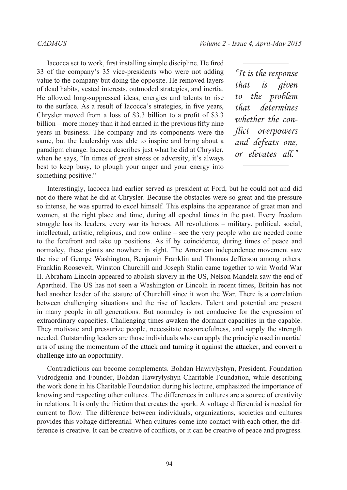Iacocca set to work, first installing simple discipline. He fired 33 of the company's 35 vice-presidents who were not adding value to the company but doing the opposite. He removed layers of dead habits, vested interests, outmoded strategies, and inertia. He allowed long-suppressed ideas, energies and talents to rise to the surface. As a result of Iacocca's strategies, in five years, Chrysler moved from a loss of \$3.3 billion to a profit of \$3.3 billion – more money than it had earned in the previous fifty nine years in business. The company and its components were the same, but the leadership was able to inspire and bring about a paradigm change. Iacocca describes just what he did at Chrysler, when he says, "In times of great stress or adversity, it's always best to keep busy, to plough your anger and your energy into something positive."

*"It is the response that is given to the problem that determines whether the conflict overpowers and defeats one, or elevates all."*

Interestingly, Iacocca had earlier served as president at Ford, but he could not and did not do there what he did at Chrysler. Because the obstacles were so great and the pressure so intense, he was spurred to excel himself. This explains the appearance of great men and women, at the right place and time, during all epochal times in the past. Every freedom struggle has its leaders, every war its heroes. All revolutions – military, political, social, intellectual, artistic, religious, and now online – see the very people who are needed come to the forefront and take up positions. As if by coincidence, during times of peace and normalcy, these giants are nowhere in sight. The American independence movement saw the rise of George Washington, Benjamin Franklin and Thomas Jefferson among others. Franklin Roosevelt, Winston Churchill and Joseph Stalin came together to win World War II. Abraham Lincoln appeared to abolish slavery in the US, Nelson Mandela saw the end of Apartheid. The US has not seen a Washington or Lincoln in recent times, Britain has not had another leader of the stature of Churchill since it won the War. There is a correlation between challenging situations and the rise of leaders. Talent and potential are present in many people in all generations. But normalcy is not conducive for the expression of extraordinary capacities. Challenging times awaken the dormant capacities in the capable. They motivate and pressurize people, necessitate resourcefulness, and supply the strength needed. Outstanding leaders are those individuals who can apply the principle used in martial arts of using the momentum of the attack and turning it against the attacker, and convert a challenge into an opportunity.

Contradictions can become complements. Bohdan Hawrylyshyn, President, Foundation Vidrodgenia and Founder, Bohdan Hawrylyshyn Charitable Foundation, while describing the work done in his Charitable Foundation during his lecture, emphasized the importance of knowing and respecting other cultures. The differences in cultures are a source of creativity in relations. It is only the friction that creates the spark. A voltage differential is needed for current to flow. The difference between individuals, organizations, societies and cultures provides this voltage differential. When cultures come into contact with each other, the difference is creative. It can be creative of conflicts, or it can be creative of peace and progress.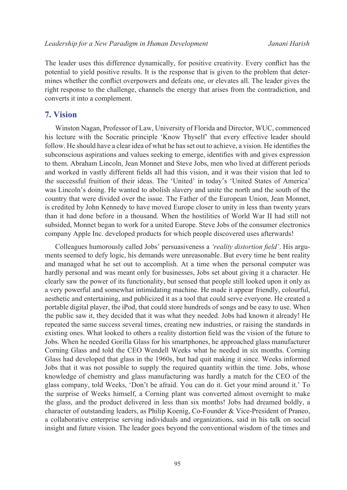The leader uses this difference dynamically, for positive creativity. Every conflict has the potential to yield positive results. It is the response that is given to the problem that determines whether the conflict overpowers and defeats one, or elevates all. The leader gives the right response to the challenge, channels the energy that arises from the contradiction, and converts it into a complement.

### **7. Vision**

Winston Nagan, Professor of Law, University of Florida and Director, WUC, commenced his lecture with the Socratic principle 'Know Thyself' that every effective leader should follow. He should have a clear idea of what he has set out to achieve, a vision. He identifies the subconscious aspirations and values seeking to emerge, identifies with and gives expression to them. Abraham Lincoln, Jean Monnet and Steve Jobs, men who lived at different periods and worked in vastly different fields all had this vision, and it was their vision that led to the successful fruition of their ideas. The 'United' in today's 'United States of America' was Lincoln's doing. He wanted to abolish slavery and unite the north and the south of the country that were divided over the issue. The Father of the European Union, Jean Monnet, is credited by John Kennedy to have moved Europe closer to unity in less than twenty years than it had done before in a thousand. When the hostilities of World War II had still not subsided, Monnet began to work for a united Europe. Steve Jobs of the consumer electronics company Apple Inc. developed products for which people discovered uses afterwards!

Colleagues humorously called Jobs' persuasiveness a *'reality distortion field'*. His arguments seemed to defy logic, his demands were unreasonable. But every time he bent reality and managed what he set out to accomplish. At a time when the personal computer was hardly personal and was meant only for businesses, Jobs set about giving it a character. He clearly saw the power of its functionality, but sensed that people still looked upon it only as a very powerful and somewhat intimidating machine. He made it appear friendly, colourful, aesthetic and entertaining, and publicized it as a tool that could serve everyone. He created a portable digital player, the iPod, that could store hundreds of songs and be easy to use. When the public saw it, they decided that it was what they needed. Jobs had known it already! He repeated the same success several times, creating new industries, or raising the standards in existing ones. What looked to others a reality distortion field was the vision of the future to Jobs. When he needed Gorilla Glass for his smartphones, he approached glass manufacturer Corning Glass and told the CEO Wendell Weeks what he needed in six months. Corning Glass had developed that glass in the 1960s, but had quit making it since. Weeks informed Jobs that it was not possible to supply the required quantity within the time. Jobs, whose knowledge of chemistry and glass manufacturing was hardly a match for the CEO of the glass company, told Weeks, 'Don't be afraid. You can do it. Get your mind around it.' To the surprise of Weeks himself, a Corning plant was converted almost overnight to make the glass, and the product delivered in less than six months! Jobs had dreamed boldly, a character of outstanding leaders, as Philip Koenig, Co-Founder & Vice-President of Praneo, a collaborative enterprise serving individuals and organizations, said in his talk on social insight and future vision. The leader goes beyond the conventional wisdom of the times and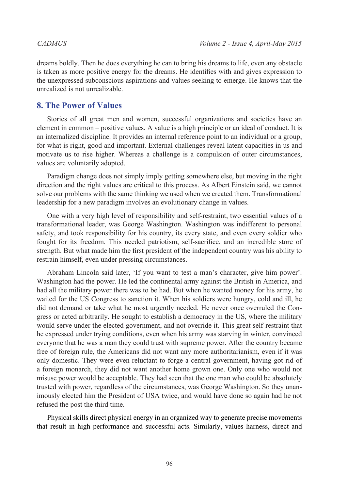dreams boldly. Then he does everything he can to bring his dreams to life, even any obstacle is taken as more positive energy for the dreams. He identifies with and gives expression to the unexpressed subconscious aspirations and values seeking to emerge. He knows that the unrealized is not unrealizable.

## **8. The Power of Values**

Stories of all great men and women, successful organizations and societies have an element in common – positive values. A value is a high principle or an ideal of conduct. It is an internalized discipline. It provides an internal reference point to an individual or a group, for what is right, good and important. External challenges reveal latent capacities in us and motivate us to rise higher. Whereas a challenge is a compulsion of outer circumstances, values are voluntarily adopted.

Paradigm change does not simply imply getting somewhere else, but moving in the right direction and the right values are critical to this process. As Albert Einstein said, we cannot solve our problems with the same thinking we used when we created them. Transformational leadership for a new paradigm involves an evolutionary change in values.

One with a very high level of responsibility and self-restraint, two essential values of a transformational leader, was George Washington. Washington was indifferent to personal safety, and took responsibility for his country, its every state, and even every soldier who fought for its freedom. This needed patriotism, self-sacrifice, and an incredible store of strength. But what made him the first president of the independent country was his ability to restrain himself, even under pressing circumstances.

Abraham Lincoln said later, 'If you want to test a man's character, give him power'. Washington had the power. He led the continental army against the British in America, and had all the military power there was to be had. But when he wanted money for his army, he waited for the US Congress to sanction it. When his soldiers were hungry, cold and ill, he did not demand or take what he most urgently needed. He never once overruled the Congress or acted arbitrarily. He sought to establish a democracy in the US, where the military would serve under the elected government, and not override it. This great self-restraint that he expressed under trying conditions, even when his army was starving in winter, convinced everyone that he was a man they could trust with supreme power. After the country became free of foreign rule, the Americans did not want any more authoritarianism, even if it was only domestic. They were even reluctant to forge a central government, having got rid of a foreign monarch, they did not want another home grown one. Only one who would not misuse power would be acceptable. They had seen that the one man who could be absolutely trusted with power, regardless of the circumstances, was George Washington. So they unanimously elected him the President of USA twice, and would have done so again had he not refused the post the third time.

Physical skills direct physical energy in an organized way to generate precise movements that result in high performance and successful acts. Similarly, values harness, direct and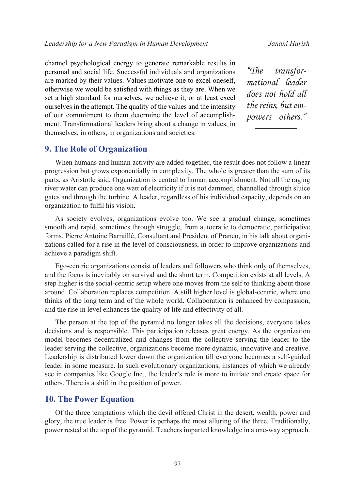channel psychological energy to generate remarkable results in personal and social life. Successful individuals and organizations are marked by their values. Values motivate one to excel oneself, otherwise we would be satisfied with things as they are. When we set a high standard for ourselves, we achieve it, or at least excel ourselves in the attempt. The quality of the values and the intensity of our commitment to them determine the level of accomplishment. Transformational leaders bring about a change in values, in themselves, in others, in organizations and societies.

*"The transformational leader does not hold all the reins, but empowers others."*

### **9. The Role of Organization**

When humans and human activity are added together, the result does not follow a linear progression but grows exponentially in complexity. The whole is greater than the sum of its parts, as Aristotle said. Organization is central to human accomplishment. Not all the raging river water can produce one watt of electricity if it is not dammed, channelled through sluice gates and through the turbine. A leader, regardless of his individual capacity, depends on an organization to fulfil his vision.

As society evolves, organizations evolve too. We see a gradual change, sometimes smooth and rapid, sometimes through struggle, from autocratic to democratic, participative forms. Pierre Antoine Barraillé, Consultant and President of Praneo, in his talk about organizations called for a rise in the level of consciousness, in order to improve organizations and achieve a paradigm shift.

Ego-centric organizations consist of leaders and followers who think only of themselves, and the focus is inevitably on survival and the short term. Competition exists at all levels. A step higher is the social-centric setup where one moves from the self to thinking about those around. Collaboration replaces competition. A still higher level is global-centric, where one thinks of the long term and of the whole world. Collaboration is enhanced by compassion, and the rise in level enhances the quality of life and effectivity of all.

The person at the top of the pyramid no longer takes all the decisions, everyone takes decisions and is responsible. This participation releases great energy. As the organization model becomes decentralized and changes from the collective serving the leader to the leader serving the collective, organizations become more dynamic, innovative and creative. Leadership is distributed lower down the organization till everyone becomes a self-guided leader in some measure. In such evolutionary organizations, instances of which we already see in companies like Google Inc., the leader's role is more to initiate and create space for others. There is a shift in the position of power.

### **10. The Power Equation**

Of the three temptations which the devil offered Christ in the desert, wealth, power and glory, the true leader is free. Power is perhaps the most alluring of the three. Traditionally, power rested at the top of the pyramid. Teachers imparted knowledge in a one-way approach.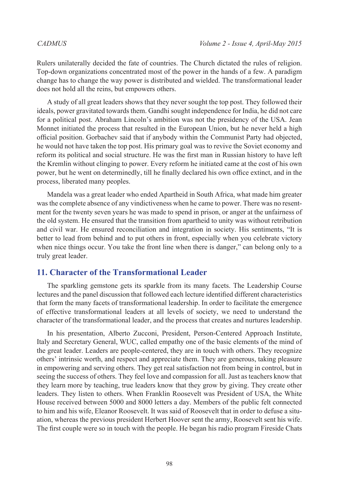Rulers unilaterally decided the fate of countries. The Church dictated the rules of religion. Top-down organizations concentrated most of the power in the hands of a few. A paradigm change has to change the way power is distributed and wielded. The transformational leader does not hold all the reins, but empowers others.

A study of all great leaders shows that they never sought the top post. They followed their ideals, power gravitated towards them. Gandhi sought independence for India, he did not care for a political post. Abraham Lincoln's ambition was not the presidency of the USA. Jean Monnet initiated the process that resulted in the European Union, but he never held a high official position. Gorbachev said that if anybody within the Communist Party had objected, he would not have taken the top post. His primary goal was to revive the Soviet economy and reform its political and social structure. He was the first man in Russian history to have left the Kremlin without clinging to power. Every reform he initiated came at the cost of his own power, but he went on determinedly, till he finally declared his own office extinct, and in the process, liberated many peoples.

Mandela was a great leader who ended Apartheid in South Africa, what made him greater was the complete absence of any vindictiveness when he came to power. There was no resentment for the twenty seven years he was made to spend in prison, or anger at the unfairness of the old system. He ensured that the transition from apartheid to unity was without retribution and civil war. He ensured reconciliation and integration in society. His sentiments, "It is better to lead from behind and to put others in front, especially when you celebrate victory when nice things occur. You take the front line when there is danger," can belong only to a truly great leader.

### **11. Character of the Transformational Leader**

The sparkling gemstone gets its sparkle from its many facets. The Leadership Course lectures and the panel discussion that followed each lecture identified different characteristics that form the many facets of transformational leadership. In order to facilitate the emergence of effective transformational leaders at all levels of society, we need to understand the character of the transformational leader, and the process that creates and nurtures leadership.

In his presentation, Alberto Zucconi, President, Person-Centered Approach Institute, Italy and Secretary General, WUC, called empathy one of the basic elements of the mind of the great leader. Leaders are people-centered, they are in touch with others. They recognize others' intrinsic worth, and respect and appreciate them. They are generous, taking pleasure in empowering and serving others. They get real satisfaction not from being in control, but in seeing the success of others. They feel love and compassion for all. Just as teachers know that they learn more by teaching, true leaders know that they grow by giving. They create other leaders. They listen to others. When Franklin Roosevelt was President of USA, the White House received between 5000 and 8000 letters a day. Members of the public felt connected to him and his wife, Eleanor Roosevelt. It was said of Roosevelt that in order to defuse a situation, whereas the previous president Herbert Hoover sent the army, Roosevelt sent his wife. The first couple were so in touch with the people. He began his radio program Fireside Chats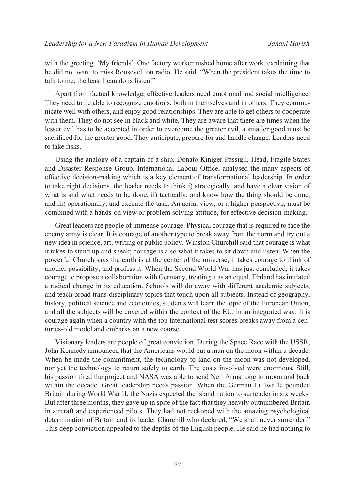with the greeting, 'My friends'. One factory worker rushed home after work, explaining that he did not want to miss Roosevelt on radio. He said, "When the president takes the time to talk to me, the least I can do is listen!"

Apart from factual knowledge, effective leaders need emotional and social intelligence. They need to be able to recognize emotions, both in themselves and in others. They communicate well with others, and enjoy good relationships. They are able to get others to cooperate with them. They do not see in black and white. They are aware that there are times when the lesser evil has to be accepted in order to overcome the greater evil, a smaller good must be sacrificed for the greater good. They anticipate, prepare for and handle change. Leaders need to take risks.

Using the analogy of a captain of a ship, Donato Kiniger-Passigli, Head, Fragile States and Disaster Response Group, International Labour Office, analysed the many aspects of effective decision-making which is a key element of transformational leadership. In order to take right decisions, the leader needs to think i) strategically, and have a clear vision of what is and what needs to be done, ii) tactically, and know how the thing should be done, and iii) operationally, and execute the task. An aerial view, or a higher perspective, must be combined with a hands-on view or problem solving attitude, for effective decision-making.

Great leaders are people of immense courage. Physical courage that is required to face the enemy army is clear. It is courage of another type to break away from the norm and try out a new idea in science, art, writing or public policy. Winston Churchill said that courage is what it takes to stand up and speak; courage is also what it takes to sit down and listen. When the powerful Church says the earth is at the center of the universe, it takes courage to think of another possibility, and profess it. When the Second World War has just concluded, it takes courage to propose a collaboration with Germany, treating it as an equal. Finland has initiated a radical change in its education. Schools will do away with different academic subjects, and teach broad trans-disciplinary topics that touch upon all subjects. Instead of geography, history, political science and economics, students will learn the topic of the European Union, and all the subjects will be covered within the context of the EU, in an integrated way. It is courage again when a country with the top international test scores breaks away from a centuries-old model and embarks on a new course.

Visionary leaders are people of great conviction. During the Space Race with the USSR, John Kennedy announced that the Americans would put a man on the moon within a decade. When he made the commitment, the technology to land on the moon was not developed, nor yet the technology to return safely to earth. The costs involved were enormous. Still, his passion fired the project and NASA was able to send Neil Armstrong to moon and back within the decade. Great leadership needs passion. When the German Luftwaffe pounded Britain during World War II, the Nazis expected the island nation to surrender in six weeks. But after three months, they gave up in spite of the fact that they heavily outnumbered Britain in aircraft and experienced pilots. They had not reckoned with the amazing psychological determination of Britain and its leader Churchill who declared, "We shall never surrender." This deep conviction appealed to the depths of the English people. He said he had nothing to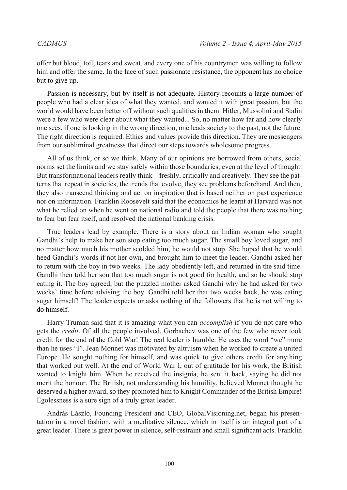offer but blood, toil, tears and sweat, and every one of his countrymen was willing to follow him and offer the same. In the face of such passionate resistance, the opponent has no choice but to give up.

Passion is necessary, but by itself is not adequate. History recounts a large number of people who had a clear idea of what they wanted, and wanted it with great passion, but the world would have been better off without such qualities in them. Hitler, Mussolini and Stalin were a few who were clear about what they wanted... So, no matter how far and how clearly one sees, if one is looking in the wrong direction, one leads society to the past, not the future. The right direction is required. Ethics and values provide this direction. They are messengers from our subliminal greatnesss that direct our steps towards wholesome progress.

All of us think, or so we think. Many of our opinions are borrowed from others, social norms set the limits and we stay safely within those boundaries, even at the level of thought. But transformational leaders really think – freshly, critically and creatively. They see the patterns that repeat in societies, the trends that evolve, they see problems beforehand. And then, they also transcend thinking and act on inspiration that is based neither on past experience nor on information. Franklin Roosevelt said that the economics he learnt at Harvard was not what he relied on when he went on national radio and told the people that there was nothing to fear but fear itself, and resolved the national banking crisis.

True leaders lead by example. There is a story about an Indian woman who sought Gandhi's help to make her son stop eating too much sugar. The small boy loved sugar, and no matter how much his mother scolded him, he would not stop. She hoped that he would heed Gandhi's words if not her own, and brought him to meet the leader. Gandhi asked her to return with the boy in two weeks. The lady obediently left, and returned in the said time. Gandhi then told her son that too much sugar is not good for health, and so he should stop eating it. The boy agreed, but the puzzled mother asked Gandhi why he had asked for two weeks' time before advising the boy. Gandhi told her that two weeks back, he was eating sugar himself! The leader expects or asks nothing of the followers that he is not willing to do himself.

Harry Truman said that it is amazing what you can *accomplish* if you do not care who gets the *credit*. Of all the people involved, Gorbachev was one of the few who never took credit for the end of the Cold War! The real leader is humble. He uses the word "we" more than he uses "I". Jean Monnet was motivated by altruism when he worked to create a united Europe. He sought nothing for himself, and was quick to give others credit for anything that worked out well. At the end of World War I, out of gratitude for his work, the British wanted to knight him. When he received the insignia, he sent it back, saying he did not merit the honour. The British, not understanding his humility, believed Monnet thought he deserved a higher award, so they promoted him to Knight Commander of the British Empire! Egolessness is a sure sign of a truly great leader.

András László, Founding President and CEO, GlobalVisioning.net, began his presentation in a novel fashion, with a meditative silence, which in itself is an integral part of a great leader. There is great power in silence, self-restraint and small significant acts. Franklin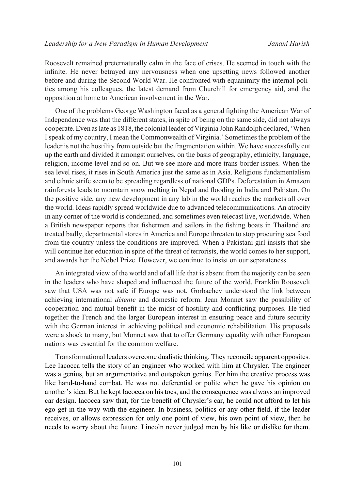Roosevelt remained preternaturally calm in the face of crises. He seemed in touch with the infinite. He never betrayed any nervousness when one upsetting news followed another before and during the Second World War. He confronted with equanimity the internal politics among his colleagues, the latest demand from Churchill for emergency aid, and the opposition at home to American involvement in the War.

One of the problems George Washington faced as a general fighting the American War of Independence was that the different states, in spite of being on the same side, did not always cooperate. Even as late as 1818, the colonial leader of Virginia John Randolph declared, 'When I speak of my country, I mean the Commonwealth of Virginia.' Sometimes the problem of the leader is not the hostility from outside but the fragmentation within. We have successfully cut up the earth and divided it amongst ourselves, on the basis of geography, ethnicity, language, religion, income level and so on. But we see more and more trans-border issues. When the sea level rises, it rises in South America just the same as in Asia. Religious fundamentalism and ethnic strife seem to be spreading regardless of national GDPs. Deforestation in Amazon rainforests leads to mountain snow melting in Nepal and flooding in India and Pakistan. On the positive side, any new development in any lab in the world reaches the markets all over the world. Ideas rapidly spread worldwide due to advanced telecommunications. An atrocity in any corner of the world is condemned, and sometimes even telecast live, worldwide. When a British newspaper reports that fishermen and sailors in the fishing boats in Thailand are treated badly, departmental stores in America and Europe threaten to stop procuring sea food from the country unless the conditions are improved. When a Pakistani girl insists that she will continue her education in spite of the threat of terrorists, the world comes to her support, and awards her the Nobel Prize. However, we continue to insist on our separateness.

An integrated view of the world and of all life that is absent from the majority can be seen in the leaders who have shaped and influenced the future of the world. Franklin Roosevelt saw that USA was not safe if Europe was not. Gorbachev understood the link between achieving international *détente* and domestic reform. Jean Monnet saw the possibility of cooperation and mutual benefit in the midst of hostility and conflicting purposes. He tied together the French and the larger European interest in ensuring peace and future security with the German interest in achieving political and economic rehabilitation. His proposals were a shock to many, but Monnet saw that to offer Germany equality with other European nations was essential for the common welfare.

Transformational leaders overcome dualistic thinking. They reconcile apparent opposites. Lee Iacocca tells the story of an engineer who worked with him at Chrysler. The engineer was a genius, but an argumentative and outspoken genius. For him the creative process was like hand-to-hand combat. He was not deferential or polite when he gave his opinion on another's idea. But he kept Iacocca on his toes, and the consequence was always an improved car design. Iacocca saw that, for the benefit of Chrysler's car, he could not afford to let his ego get in the way with the engineer. In business, politics or any other field, if the leader receives, or allows expression for only one point of view, his own point of view, then he needs to worry about the future. Lincoln never judged men by his like or dislike for them.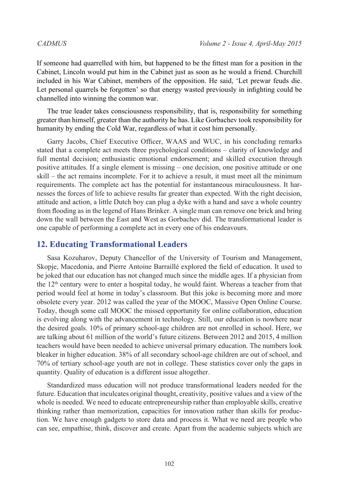If someone had quarrelled with him, but happened to be the fittest man for a position in the Cabinet, Lincoln would put him in the Cabinet just as soon as he would a friend. Churchill included in his War Cabinet, members of the opposition. He said, 'Let prewar feuds die. Let personal quarrels be forgotten' so that energy wasted previously in infighting could be channelled into winning the common war.

The true leader takes consciousness responsibility, that is, responsibility for something greater than himself, greater than the authority he has. Like Gorbachev took responsibility for humanity by ending the Cold War, regardless of what it cost him personally.

Garry Jacobs, Chief Executive Officer, WAAS and WUC, in his concluding remarks stated that a complete act meets three psychological conditions – clarity of knowledge and full mental decision; enthusiastic emotional endorsement; and skilled execution through positive attitudes. If a single element is missing – one decision, one positive attitude or one skill – the act remains incomplete. For it to achieve a result, it must meet all the minimum requirements. The complete act has the potential for instantaneous miraculousness. It harnesses the forces of life to achieve results far greater than expected. With the right decision, attitude and action, a little Dutch boy can plug a dyke with a hand and save a whole country from flooding as in the legend of Hans Brinker. A single man can remove one brick and bring down the wall between the East and West as Gorbachev did. The transformational leader is one capable of performing a complete act in every one of his endeavours.

### **12. Educating Transformational Leaders**

Sasa Kozuharov, Deputy Chancellor of the University of Tourism and Management, Skopje, Macedonia, and Pierre Antoine Barraillé explored the field of education. It used to be joked that our education has not changed much since the middle ages. If a physician from the  $12<sup>th</sup>$  century were to enter a hospital today, he would faint. Whereas a teacher from that period would feel at home in today's classroom. But this joke is becoming more and more obsolete every year. 2012 was called the year of the MOOC, Massive Open Online Course. Today, though some call MOOC the missed opportunity for online collaboration, education is evolving along with the advancement in technology. Still, our education is nowhere near the desired goals. 10% of primary school-age children are not enrolled in school. Here, we are talking about 61 million of the world's future citizens. Between 2012 and 2015, 4 million teachers would have been needed to achieve universal primary education. The numbers look bleaker in higher education. 38% of all secondary school-age children are out of school, and 70% of tertiary school-age youth are not in college. These statistics cover only the gaps in quantity. Quality of education is a different issue altogether.

Standardized mass education will not produce transformational leaders needed for the future. Education that inculcates original thought, creativity, positive values and a view of the whole is needed. We need to educate entrepreneurship rather than employable skills, creative thinking rather than memorization, capacities for innovation rather than skills for production. We have enough gadgets to store data and process it. What we need are people who can see, empathise, think, discover and create. Apart from the academic subjects which are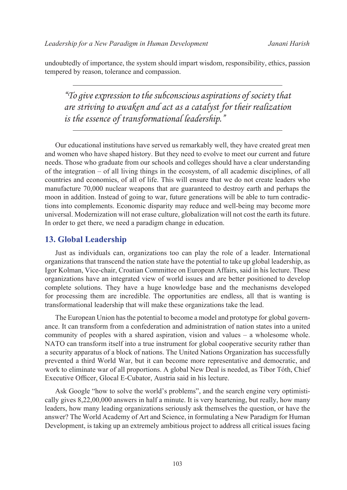undoubtedly of importance, the system should impart wisdom, responsibility, ethics, passion tempered by reason, tolerance and compassion.

*"To give expression to the subconscious aspirations of society that are striving to awaken and act as a catalyst for their realization is the essence of transformational leadership."*

Our educational institutions have served us remarkably well, they have created great men and women who have shaped history. But they need to evolve to meet our current and future needs. Those who graduate from our schools and colleges should have a clear understanding of the integration – of all living things in the ecosystem, of all academic disciplines, of all countries and economies, of all of life. This will ensure that we do not create leaders who manufacture 70,000 nuclear weapons that are guaranteed to destroy earth and perhaps the moon in addition. Instead of going to war, future generations will be able to turn contradictions into complements. Economic disparity may reduce and well-being may become more universal. Modernization will not erase culture, globalization will not cost the earth its future. In order to get there, we need a paradigm change in education.

### **13. Global Leadership**

Just as individuals can, organizations too can play the role of a leader. International organizations that transcend the nation state have the potential to take up global leadership, as Igor Kolman, Vice-chair, Croatian Committee on European Affairs, said in his lecture. These organizations have an integrated view of world issues and are better positioned to develop complete solutions. They have a huge knowledge base and the mechanisms developed for processing them are incredible. The opportunities are endless, all that is wanting is transformational leadership that will make these organizations take the lead.

The European Union has the potential to become a model and prototype for global governance. It can transform from a confederation and administration of nation states into a united community of peoples with a shared aspiration, vision and values – a wholesome whole. NATO can transform itself into a true instrument for global cooperative security rather than a security apparatus of a block of nations. The United Nations Organization has successfully prevented a third World War, but it can become more representative and democratic, and work to eliminate war of all proportions. A global New Deal is needed, as Tibor Tóth, Chief Executive Officer, Glocal E-Cubator, Austria said in his lecture.

Ask Google "how to solve the world's problems", and the search engine very optimistically gives 8,22,00,000 answers in half a minute. It is very heartening, but really, how many leaders, how many leading organizations seriously ask themselves the question, or have the answer? The World Academy of Art and Science, in formulating a New Paradigm for Human Development, is taking up an extremely ambitious project to address all critical issues facing